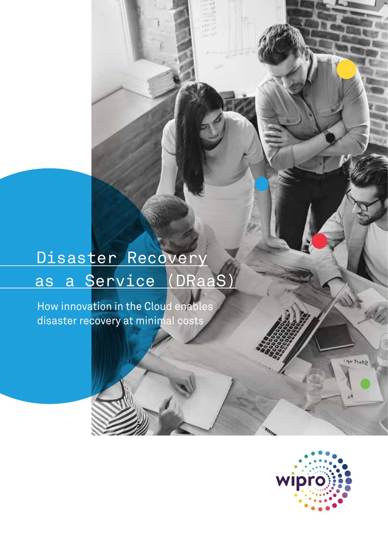# Disaster Recovery as a Service (DRaaS)

How innovation in the Cloud enables disaster recovery at minimal costs

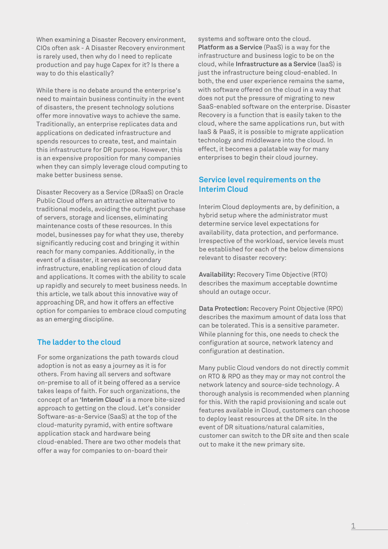When examining a Disaster Recovery environment, CIOs often ask - A Disaster Recovery environment is rarely used, then why do I need to replicate production and pay huge Capex for it? Is there a way to do this elastically?

While there is no debate around the enterprise's need to maintain business continuity in the event of disasters, the present technology solutions offer more innovative ways to achieve the same. Traditionally, an enterprise replicates data and applications on dedicated infrastructure and spends resources to create, test, and maintain this infrastructure for DR purpose. However, this is an expensive proposition for many companies when they can simply leverage cloud computing to make better business sense.

Disaster Recovery as a Service (DRaaS) on Oracle Public Cloud offers an attractive alternative to traditional models, avoiding the outright purchase of servers, storage and licenses, eliminating maintenance costs of these resources. In this model, businesses pay for what they use, thereby significantly reducing cost and bringing it within reach for many companies. Additionally, in the event of a disaster, it serves as secondary infrastructure, enabling replication of cloud data and applications. It comes with the ability to scale up rapidly and securely to meet business needs. In this article, we talk about this innovative way of approaching DR, and how it offers an effective option for companies to embrace cloud computing as an emerging discipline.

# **The ladder to the cloud**

For some organizations the path towards cloud adoption is not as easy a journey as it is for others. From having all servers and software on-premise to all of it being offered as a service takes leaps of faith. For such organizations, the concept of an **'Interim Cloud'** is a more bite-sized approach to getting on the cloud. Let's consider Software-as-a-Service (SaaS) at the top of the cloud-maturity pyramid, with entire software application stack and hardware being cloud-enabled. There are two other models that offer a way for companies to on-board their

systems and software onto the cloud. **Platform as a Service** (PaaS) is a way for the infrastructure and business logic to be on the cloud, while **Infrastructure as a Service** (IaaS) is just the infrastructure being cloud-enabled. In both, the end user experience remains the same, with software offered on the cloud in a way that does not put the pressure of migrating to new SaaS-enabled software on the enterprise. Disaster Recovery is a function that is easily taken to the cloud, where the same applications run, but with IaaS & PaaS, it is possible to migrate application technology and middleware into the cloud. In effect, it becomes a palatable way for many enterprises to begin their cloud journey.

# **Service level requirements on the Interim Cloud**

Interim Cloud deployments are, by definition, a hybrid setup where the administrator must determine service level expectations for availability, data protection, and performance. Irrespective of the workload, service levels must be established for each of the below dimensions relevant to disaster recovery:

**Availability:** Recovery Time Objective (RTO) describes the maximum acceptable downtime should an outage occur.

**Data Protection:** Recovery Point Objective (RPO) describes the maximum amount of data loss that can be tolerated. This is a sensitive parameter. While planning for this, one needs to check the configuration at source, network latency and configuration at destination.

Many public Cloud vendors do not directly commit on RTO & RPO as they may or may not control the network latency and source-side technology. A thorough analysis is recommended when planning for this. With the rapid provisioning and scale out features available in Cloud, customers can choose to deploy least resources at the DR site. In the event of DR situations/natural calamities, customer can switch to the DR site and then scale out to make it the new primary site.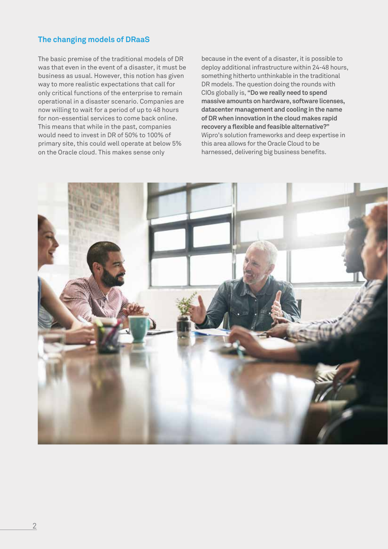# **The changing models of DRaaS**

The basic premise of the traditional models of DR was that even in the event of a disaster, it must be business as usual. However, this notion has given way to more realistic expectations that call for only critical functions of the enterprise to remain operational in a disaster scenario. Companies are now willing to wait for a period of up to 48 hours for non-essential services to come back online. This means that while in the past, companies would need to invest in DR of 50% to 100% of primary site, this could well operate at below 5% on the Oracle cloud. This makes sense only

because in the event of a disaster, it is possible to deploy additional infrastructure within 24-48 hours, something hitherto unthinkable in the traditional DR models. The question doing the rounds with CIOs globally is, **"Do we really need to spend massive amounts on hardware, software licenses, datacenter management and cooling in the name of DR when innovation in the cloud makes rapid recovery a flexible and feasible alternative?"** Wipro's solution frameworks and deep expertise in this area allows for the Oracle Cloud to be harnessed, delivering big business benefits.

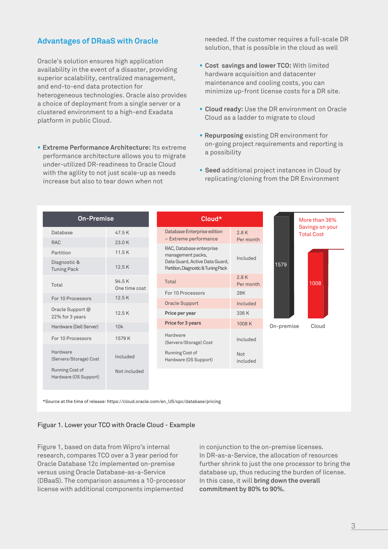### **Advantages of DRaaS with Oracle**

Oracle's solution ensures high application availability in the event of a disaster, providing superior scalability, centralized management, and end-to-end data protection for heterogeneous technologies. Oracle also provides a choice of deployment from a single server or a clustered environment to a high-end Exadata platform in public Cloud.

**• Extreme Performance Architecture:** Its extreme performance architecture allows you to migrate under-utilized DR-readiness to Oracle Cloud with the agility to not just scale-up as needs increase but also to tear down when not

 needed. If the customer requires a full-scale DR solution, that is possible in the cloud as well

- **• Cost savings and lower TCO:** With limited hardware acquisition and datacenter maintenance and cooling costs, you can minimize up-front license costs for a DR site.
- **• Cloud ready:** Use the DR environment on Oracle Cloud as a ladder to migrate to cloud
- **• Repurposing** existing DR environment for on-going project requirements and reporting is a possibility
- **• Seed** additional project instances in Cloud by replicating/cloning from the DR Environment

| <b>On-Premise</b>                        |                        | Cloud*                                                                |                        |            | More than 36%                        |  |
|------------------------------------------|------------------------|-----------------------------------------------------------------------|------------------------|------------|--------------------------------------|--|
| Database                                 | 47.5K                  | Database Enterprise edition                                           | 2.8K                   |            | Savings on your<br><b>Total Cost</b> |  |
| <b>RAC</b>                               | 23.0K                  | - Extreme performance                                                 | Per month              |            |                                      |  |
| Partition                                | 11.5K                  | RAC, Database enterprise<br>management packs,                         |                        |            |                                      |  |
| Diagnostic &<br><b>Tuning Pack</b>       | 12.5K                  | Data Guard, Active Data Guard,<br>Partition, Diagnostic & Tuning Pack | Included               | 1579       |                                      |  |
| Total                                    | 94.5K<br>One time cost | Total                                                                 | 2.8K<br>Per month      |            | 1008                                 |  |
| For 10 Processors                        | 12.5K                  | For 10 Processors                                                     | 28K                    |            |                                      |  |
|                                          |                        | Oracle Support                                                        | Included               |            |                                      |  |
| Oracle Support @<br>22% for 3 years      | 12.5K                  | Price per year                                                        | 336 K                  |            |                                      |  |
| Hardware (Dell Server)                   | 10k                    | Price for 3 years                                                     | 1008K                  | On-premise | Cloud                                |  |
| For 10 Processors                        | 1579 K                 | Hardware<br>(Servers/Storage) Cost                                    | Included               |            |                                      |  |
| Hardware<br>(Servers/Storage) Cost       | Included               | Running Cost of<br>Hardware (OS Support)                              | <b>Not</b><br>included |            |                                      |  |
| Running Cost of<br>Hardware (OS Support) | Not included           |                                                                       |                        |            |                                      |  |

\*Source at the time of release: https://cloud.oracle.com/en\_US/opc/database/pricing

#### Figuar 1. Lower your TCO with Oracle Cloud - Example

Figure 1, based on data from Wipro's internal research, compares TCO over a 3 year period for Oracle Database 12c implemented on-premise versus using Oracle Database-as-a-Service (DBaaS). The comparison assumes a 10-processor license with additional components implemented

in conjunction to the on-premise licenses. In DR-as-a-Service, the allocation of resources further shrink to just the one processor to bring the database up, thus reducing the burden of license. In this case, it will **bring down the overall commitment by 80% to 90%.**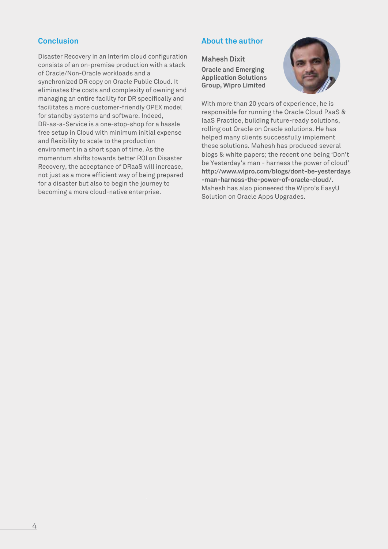# **Conclusion**

Disaster Recovery in an Interim cloud configuration consists of an on-premise production with a stack of Oracle/Non-Oracle workloads and a synchronized DR copy on Oracle Public Cloud. It eliminates the costs and complexity of owning and managing an entire facility for DR specifically and facilitates a more customer-friendly OPEX model for standby systems and software. Indeed, DR-as-a-Service is a one-stop-shop for a hassle free setup in Cloud with minimum initial expense and flexibility to scale to the production environment in a short span of time. As the momentum shifts towards better ROI on Disaster Recovery, the acceptance of DRaaS will increase, not just as a more efficient way of being prepared for a disaster but also to begin the journey to becoming a more cloud-native enterprise.

# **About the author**

#### **Mahesh Dixit**

**Oracle and Emerging Application Solutions Group, Wipro Limited**



With more than 20 years of experience, he is responsible for running the Oracle Cloud PaaS & IaaS Practice, building future-ready solutions, rolling out Oracle on Oracle solutions. He has helped many clients successfully implement these solutions. Mahesh has produced several blogs & white papers; the recent one being 'Don't be Yesterday's man - harness the power of cloud' **http://www.wipro.com/blogs/dont-be-yesterdays -man-harness-the-power-of-oracle-cloud/.**  Mahesh has also pioneered the Wipro's EasyU Solution on Oracle Apps Upgrades.